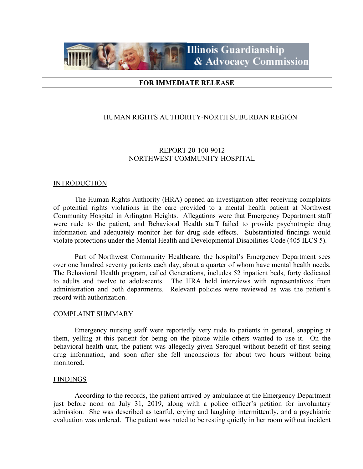

## **FOR IMMEDIATE RELEASE**

## HUMAN RIGHTS AUTHORITY-NORTH SUBURBAN REGION

## REPORT 20-100-9012 NORTHWEST COMMUNITY HOSPITAL

#### **INTRODUCTION**

The Human Rights Authority (HRA) opened an investigation after receiving complaints of potential rights violations in the care provided to a mental health patient at Northwest Community Hospital in Arlington Heights. Allegations were that Emergency Department staff were rude to the patient, and Behavioral Health staff failed to provide psychotropic drug information and adequately monitor her for drug side effects. Substantiated findings would violate protections under the Mental Health and Developmental Disabilities Code (405 ILCS 5).

Part of Northwest Community Healthcare, the hospital's Emergency Department sees over one hundred seventy patients each day, about a quarter of whom have mental health needs. The Behavioral Health program, called Generations, includes 52 inpatient beds, forty dedicated to adults and twelve to adolescents. The HRA held interviews with representatives from administration and both departments. Relevant policies were reviewed as was the patient's record with authorization.

#### COMPLAINT SUMMARY

Emergency nursing staff were reportedly very rude to patients in general, snapping at them, yelling at this patient for being on the phone while others wanted to use it. On the behavioral health unit, the patient was allegedly given Seroquel without benefit of first seeing drug information, and soon after she fell unconscious for about two hours without being monitored.

#### FINDINGS

According to the records, the patient arrived by ambulance at the Emergency Department just before noon on July 31, 2019, along with a police officer's petition for involuntary admission. She was described as tearful, crying and laughing intermittently, and a psychiatric evaluation was ordered. The patient was noted to be resting quietly in her room without incident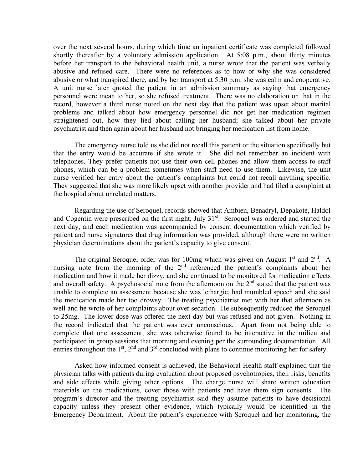over the next several hours, during which time an inpatient certificate was completed followed shortly thereafter by a voluntary admission application. At 5:08 p.m., about thirty minutes before her transport to the behavioral health unit, a nurse wrote that the patient was verbally abusive and refused care. There were no references as to how or why she was considered abusive or what transpired there, and by her transport at 5:30 p.m. she was calm and cooperative. A unit nurse later quoted the patient in an admission summary as saying that emergency personnel were mean to her, so she refused treatment. There was no elaboration on that in the record, however a third nurse noted on the next day that the patient was upset about marital problems and talked about how emergency personnel did not get her medication regimen straightened out, how they lied about calling her husband; she talked about her private psychiatrist and then again about her husband not bringing her medication list from home.

The emergency nurse told us she did not recall this patient or the situation specifically but that the entry would be accurate if she wrote it. She did not remember an incident with telephones. They prefer patients not use their own cell phones and allow them access to staff phones, which can be a problem sometimes when staff need to use them. Likewise, the unit nurse verified her entry about the patient's complaints but could not recall anything specific. They suggested that she was more likely upset with another provider and had filed a complaint at the hospital about unrelated matters.

Regarding the use of Seroquel, records showed that Ambien, Benadryl, Depakote, Haldol and Cogentin were prescribed on the first night, July  $31<sup>st</sup>$ . Seroquel was ordered and started the next day, and each medication was accompanied by consent documentation which verified by patient and nurse signatures that drug information was provided, although there were no written physician determinations about the patient's capacity to give consent.

The original Seroquel order was for 100mg which was given on August  $1<sup>st</sup>$  and  $2<sup>nd</sup>$ . A nursing note from the morning of the  $2<sup>nd</sup>$  referenced the patient's complaints about her medication and how it made her dizzy, and she continued to be monitored for medication effects and overall safety. A psychosocial note from the afternoon on the  $2<sup>nd</sup>$  stated that the patient was unable to complete an assessment because she was lethargic, had mumbled speech and she said the medication made her too drowsy. The treating psychiatrist met with her that afternoon as well and he wrote of her complaints about over sedation. He subsequently reduced the Seroquel to 25mg. The lower dose was offered the next day but was refused and not given. Nothing in the record indicated that the patient was ever unconscious. Apart from not being able to complete that one assessment, she was otherwise found to be interactive in the milieu and participated in group sessions that morning and evening per the surrounding documentation. All entries throughout the  $1<sup>st</sup>$ ,  $2<sup>nd</sup>$  and  $3<sup>rd</sup>$  concluded with plans to continue monitoring her for safety.

Asked how informed consent is achieved, the Behavioral Health staff explained that the physician talks with patients during evaluation about proposed psychotropics, their risks, benefits and side effects while giving other options. The charge nurse will share written education materials on the medications, cover those with patients and have them sign consents. The program's director and the treating psychiatrist said they assume patients to have decisional capacity unless they present other evidence, which typically would be identified in the Emergency Department. About the patient's experience with Seroquel and her monitoring, the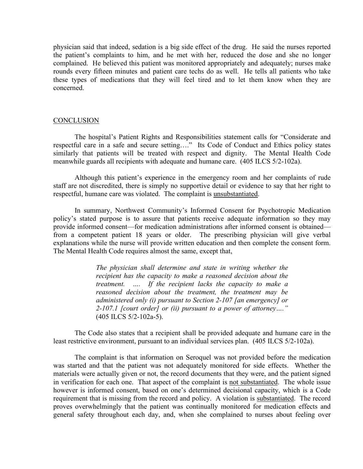physician said that indeed, sedation is a big side effect of the drug. He said the nurses reported the patient's complaints to him, and he met with her, reduced the dose and she no longer complained. He believed this patient was monitored appropriately and adequately; nurses make rounds every fifteen minutes and patient care techs do as well. He tells all patients who take these types of medications that they will feel tired and to let them know when they are concerned.

#### **CONCLUSION**

The hospital's Patient Rights and Responsibilities statement calls for "Considerate and respectful care in a safe and secure setting…." Its Code of Conduct and Ethics policy states similarly that patients will be treated with respect and dignity. The Mental Health Code meanwhile guards all recipients with adequate and humane care. (405 ILCS 5/2-102a).

Although this patient's experience in the emergency room and her complaints of rude staff are not discredited, there is simply no supportive detail or evidence to say that her right to respectful, humane care was violated. The complaint is unsubstantiated.

In summary, Northwest Community's Informed Consent for Psychotropic Medication policy's stated purpose is to assure that patients receive adequate information so they may provide informed consent—for medication administrations after informed consent is obtained from a competent patient 18 years or older. The prescribing physician will give verbal explanations while the nurse will provide written education and then complete the consent form. The Mental Health Code requires almost the same, except that,

> *The physician shall determine and state in writing whether the recipient has the capacity to make a reasoned decision about the treatment. …. If the recipient lacks the capacity to make a reasoned decision about the treatment, the treatment may be administered only (i) pursuant to Section 2-107 [an emergency] or 2-107.1 [court order] or (ii) pursuant to a power of attorney…."* (405 ILCS 5/2-102a-5).

The Code also states that a recipient shall be provided adequate and humane care in the least restrictive environment, pursuant to an individual services plan. (405 ILCS 5/2-102a).

The complaint is that information on Seroquel was not provided before the medication was started and that the patient was not adequately monitored for side effects. Whether the materials were actually given or not, the record documents that they were, and the patient signed in verification for each one. That aspect of the complaint is not substantiated. The whole issue however is informed consent, based on one's determined decisional capacity, which is a Code requirement that is missing from the record and policy. A violation is substantiated. The record proves overwhelmingly that the patient was continually monitored for medication effects and general safety throughout each day, and, when she complained to nurses about feeling over